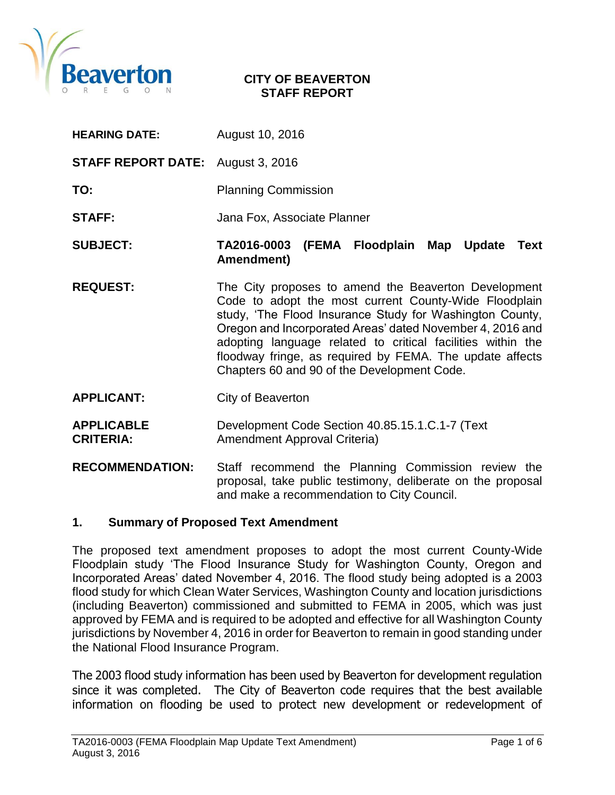

#### **CITY OF BEAVERTON STAFF REPORT**

- **HEARING DATE:** August 10, 2016
- **STAFF REPORT DATE:** August 3, 2016
- **TO:** Planning Commission
- **STAFF:** Jana Fox, Associate Planner
- **SUBJECT: TA2016-0003 (FEMA Floodplain Map Update Text Amendment)**
- **REQUEST:** The City proposes to amend the Beaverton Development Code to adopt the most current County-Wide Floodplain study, 'The Flood Insurance Study for Washington County, Oregon and Incorporated Areas' dated November 4, 2016 and adopting language related to critical facilities within the floodway fringe, as required by FEMA. The update affects Chapters 60 and 90 of the Development Code.
- **APPLICANT:** City of Beaverton
- **APPLICABLE** Development Code Section 40.85.15.1.C.1-7 (Text **CRITERIA:** Amendment Approval Criteria)
- **RECOMMENDATION:** Staff recommend the Planning Commission review the proposal, take public testimony, deliberate on the proposal and make a recommendation to City Council.

#### **1. Summary of Proposed Text Amendment**

The proposed text amendment proposes to adopt the most current County-Wide Floodplain study 'The Flood Insurance Study for Washington County, Oregon and Incorporated Areas' dated November 4, 2016. The flood study being adopted is a 2003 flood study for which Clean Water Services, Washington County and location jurisdictions (including Beaverton) commissioned and submitted to FEMA in 2005, which was just approved by FEMA and is required to be adopted and effective for all Washington County jurisdictions by November 4, 2016 in order for Beaverton to remain in good standing under the National Flood Insurance Program.

The 2003 flood study information has been used by Beaverton for development regulation since it was completed. The City of Beaverton code requires that the best available information on flooding be used to protect new development or redevelopment of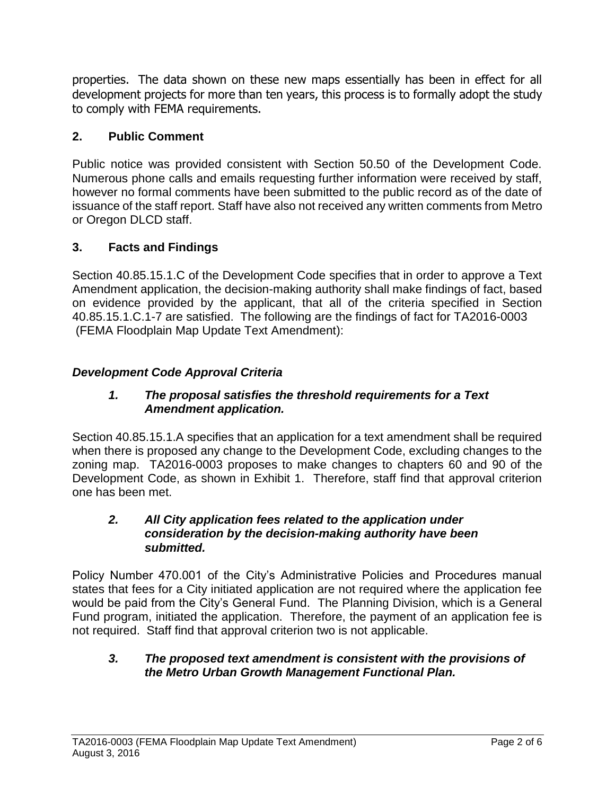properties. The data shown on these new maps essentially has been in effect for all development projects for more than ten years, this process is to formally adopt the study to comply with FEMA requirements.

# **2. Public Comment**

Public notice was provided consistent with Section 50.50 of the Development Code. Numerous phone calls and emails requesting further information were received by staff, however no formal comments have been submitted to the public record as of the date of issuance of the staff report. Staff have also not received any written comments from Metro or Oregon DLCD staff.

# **3. Facts and Findings**

Section 40.85.15.1.C of the Development Code specifies that in order to approve a Text Amendment application, the decision-making authority shall make findings of fact, based on evidence provided by the applicant, that all of the criteria specified in Section 40.85.15.1.C.1-7 are satisfied. The following are the findings of fact for TA2016-0003 (FEMA Floodplain Map Update Text Amendment):

# *Development Code Approval Criteria*

#### *1. The proposal satisfies the threshold requirements for a Text Amendment application.*

Section 40.85.15.1.A specifies that an application for a text amendment shall be required when there is proposed any change to the Development Code, excluding changes to the zoning map. TA2016-0003 proposes to make changes to chapters 60 and 90 of the Development Code, as shown in Exhibit 1. Therefore, staff find that approval criterion one has been met.

#### *2. All City application fees related to the application under consideration by the decision-making authority have been submitted.*

Policy Number 470.001 of the City's Administrative Policies and Procedures manual states that fees for a City initiated application are not required where the application fee would be paid from the City's General Fund. The Planning Division, which is a General Fund program, initiated the application. Therefore, the payment of an application fee is not required. Staff find that approval criterion two is not applicable.

### *3. The proposed text amendment is consistent with the provisions of the Metro Urban Growth Management Functional Plan.*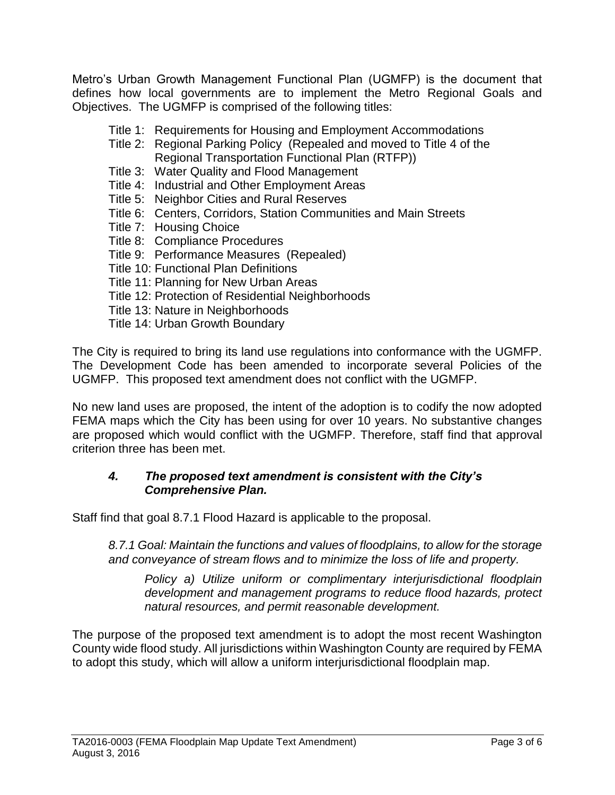Metro's Urban Growth Management Functional Plan (UGMFP) is the document that defines how local governments are to implement the Metro Regional Goals and Objectives. The UGMFP is comprised of the following titles:

- Title 1: Requirements for Housing and Employment Accommodations
- Title 2: Regional Parking Policy (Repealed and moved to Title 4 of the Regional Transportation Functional Plan (RTFP))
- Title 3: Water Quality and Flood Management
- Title 4: Industrial and Other Employment Areas
- Title 5: Neighbor Cities and Rural Reserves
- Title 6: Centers, Corridors, Station Communities and Main Streets
- Title 7: Housing Choice
- Title 8: Compliance Procedures
- Title 9: Performance Measures (Repealed)
- Title 10: Functional Plan Definitions
- Title 11: Planning for New Urban Areas
- Title 12: Protection of Residential Neighborhoods
- Title 13: Nature in Neighborhoods
- Title 14: Urban Growth Boundary

The City is required to bring its land use regulations into conformance with the UGMFP. The Development Code has been amended to incorporate several Policies of the UGMFP. This proposed text amendment does not conflict with the UGMFP.

No new land uses are proposed, the intent of the adoption is to codify the now adopted FEMA maps which the City has been using for over 10 years. No substantive changes are proposed which would conflict with the UGMFP. Therefore, staff find that approval criterion three has been met.

#### *4. The proposed text amendment is consistent with the City's Comprehensive Plan.*

Staff find that goal 8.7.1 Flood Hazard is applicable to the proposal.

*8.7.1 Goal: Maintain the functions and values of floodplains, to allow for the storage and conveyance of stream flows and to minimize the loss of life and property.*

*Policy a) Utilize uniform or complimentary interjurisdictional floodplain development and management programs to reduce flood hazards, protect natural resources, and permit reasonable development.*

The purpose of the proposed text amendment is to adopt the most recent Washington County wide flood study. All jurisdictions within Washington County are required by FEMA to adopt this study, which will allow a uniform interjurisdictional floodplain map.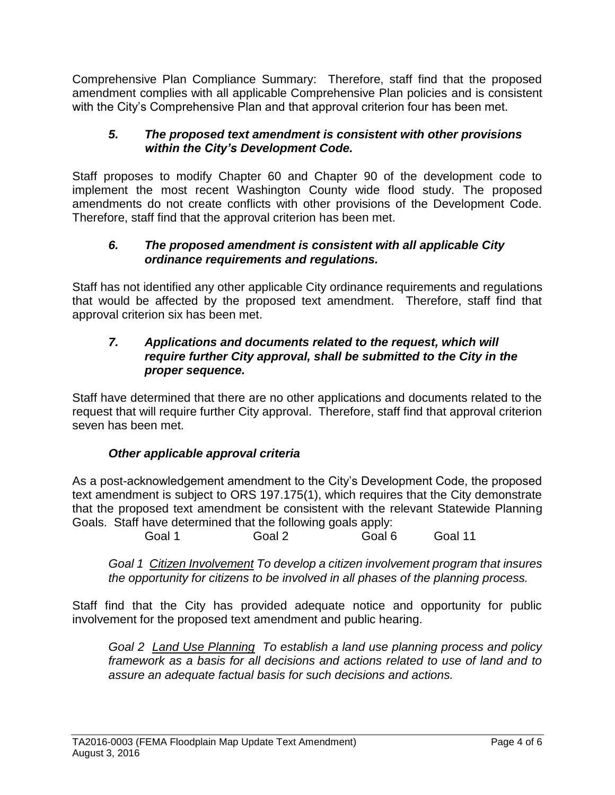Comprehensive Plan Compliance Summary: Therefore, staff find that the proposed amendment complies with all applicable Comprehensive Plan policies and is consistent with the City's Comprehensive Plan and that approval criterion four has been met.

## *5. The proposed text amendment is consistent with other provisions within the City's Development Code.*

Staff proposes to modify Chapter 60 and Chapter 90 of the development code to implement the most recent Washington County wide flood study. The proposed amendments do not create conflicts with other provisions of the Development Code. Therefore, staff find that the approval criterion has been met.

### *6. The proposed amendment is consistent with all applicable City ordinance requirements and regulations.*

Staff has not identified any other applicable City ordinance requirements and regulations that would be affected by the proposed text amendment. Therefore, staff find that approval criterion six has been met.

#### *7. Applications and documents related to the request, which will require further City approval, shall be submitted to the City in the proper sequence.*

Staff have determined that there are no other applications and documents related to the request that will require further City approval. Therefore, staff find that approval criterion seven has been met.

# *Other applicable approval criteria*

As a post-acknowledgement amendment to the City's Development Code, the proposed text amendment is subject to ORS 197.175(1), which requires that the City demonstrate that the proposed text amendment be consistent with the relevant Statewide Planning Goals. Staff have determined that the following goals apply:

Goal 1 Goal 2 Goal 6 Goal 11

*Goal 1 Citizen Involvement To develop a citizen involvement program that insures the opportunity for citizens to be involved in all phases of the planning process.*

Staff find that the City has provided adequate notice and opportunity for public involvement for the proposed text amendment and public hearing.

*Goal 2 Land Use Planning To establish a land use planning process and policy framework as a basis for all decisions and actions related to use of land and to assure an adequate factual basis for such decisions and actions.*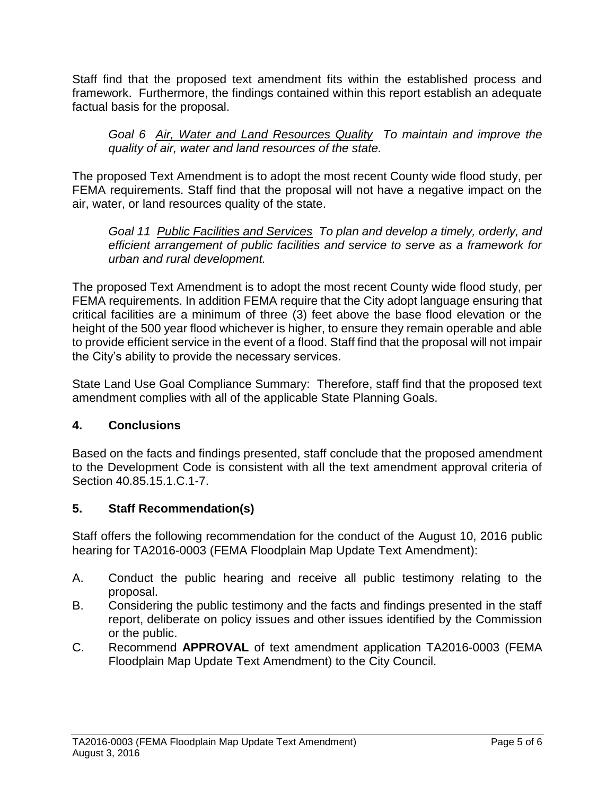Staff find that the proposed text amendment fits within the established process and framework. Furthermore, the findings contained within this report establish an adequate factual basis for the proposal.

*Goal 6 Air, Water and Land Resources Quality To maintain and improve the quality of air, water and land resources of the state.*

The proposed Text Amendment is to adopt the most recent County wide flood study, per FEMA requirements. Staff find that the proposal will not have a negative impact on the air, water, or land resources quality of the state.

*Goal 11 Public Facilities and Services To plan and develop a timely, orderly, and efficient arrangement of public facilities and service to serve as a framework for urban and rural development.*

The proposed Text Amendment is to adopt the most recent County wide flood study, per FEMA requirements. In addition FEMA require that the City adopt language ensuring that critical facilities are a minimum of three (3) feet above the base flood elevation or the height of the 500 year flood whichever is higher, to ensure they remain operable and able to provide efficient service in the event of a flood. Staff find that the proposal will not impair the City's ability to provide the necessary services.

State Land Use Goal Compliance Summary: Therefore, staff find that the proposed text amendment complies with all of the applicable State Planning Goals.

# **4. Conclusions**

Based on the facts and findings presented, staff conclude that the proposed amendment to the Development Code is consistent with all the text amendment approval criteria of Section 40.85.15.1.C.1-7.

# **5. Staff Recommendation(s)**

Staff offers the following recommendation for the conduct of the August 10, 2016 public hearing for TA2016-0003 (FEMA Floodplain Map Update Text Amendment):

- A. Conduct the public hearing and receive all public testimony relating to the proposal.
- B. Considering the public testimony and the facts and findings presented in the staff report, deliberate on policy issues and other issues identified by the Commission or the public.
- C. Recommend **APPROVAL** of text amendment application TA2016-0003 (FEMA Floodplain Map Update Text Amendment) to the City Council.